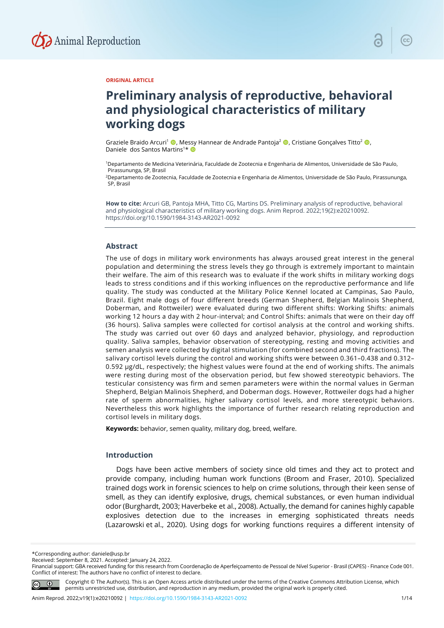

#### **ORIGINAL ARTICLE**

# **Preliminary analysis of reproductive, behavioral and physiological characteristics of military working dogs**

Graziele Braido Arcuri<sup>1</sup> (D, Messy Hannear de Andrade Pantoja<sup>2</sup> (D, Cristiane Gonçalves Titto<sup>2</sup> (D, Daniele dos Santos Martins<sup>1\*</sup>

1Departamento de Medicina Veterinária, Faculdade de Zootecnia e Engenharia de Alimentos, Universidade de São Paulo, Pirassununga, SP, Brasil

2Departamento de Zootecnia, Faculdade de Zootecnia e Engenharia de Alimentos, Universidade de São Paulo, Pirassununga, SP, Brasil

**How to cite:** Arcuri GB, Pantoja MHA, Titto CG, Martins DS. Preliminary analysis of reproductive, behavioral and physiological characteristics of military working dogs. Anim Reprod. 2022;19(2):e20210092. <https://doi.org/10.1590/1984-3143-AR2021-0092>

#### **Abstract**

The use of dogs in military work environments has always aroused great interest in the general population and determining the stress levels they go through is extremely important to maintain their welfare. The aim of this research was to evaluate if the work shifts in military working dogs leads to stress conditions and if this working influences on the reproductive performance and life quality. The study was conducted at the Military Police Kennel located at Campinas, Sao Paulo, Brazil. Eight male dogs of four different breeds (German Shepherd, Belgian Malinois Shepherd, Doberman, and Rottweiler) were evaluated during two different shifts: Working Shifts: animals working 12 hours a day with 2 hour-interval; and Control Shifts: animals that were on their day off (36 hours). Saliva samples were collected for cortisol analysis at the control and working shifts. The study was carried out over 60 days and analyzed behavior, physiology, and reproduction quality. Saliva samples, behavior observation of stereotyping, resting and moving activities and semen analysis were collected by digital stimulation (for combined second and third fractions). The salivary cortisol levels during the control and working shifts were between 0.361–0.438 and 0.312– 0.592 µg/dL, respectively; the highest values were found at the end of working shifts. The animals were resting during most of the observation period, but few showed stereotypic behaviors. The testicular consistency was firm and semen parameters were within the normal values in German Shepherd, Belgian Malinois Shepherd, and Doberman dogs. However, Rottweiler dogs had a higher rate of sperm abnormalities, higher salivary cortisol levels, and more stereotypic behaviors. Nevertheless this work highlights the importance of further research relating reproduction and cortisol levels in military dogs.

**Keywords:** behavior, semen quality, military dog, breed, welfare.

# **Introduction**

Dogs have been active members of society since old times and they act to protect and provide company, including human work functions (Broom and Fraser, 2010). Specialized trained dogs work in forensic sciences to help on crime solutions, through their keen sense of smell, as they can identify explosive, drugs, chemical substances, or even human individual odor (Burghardt, 2003; Haverbeke et al., 2008). Actually, the demand for canines highly capable explosives detection due to the increases in emerging sophisticated threats needs (Lazarowski et al., 2020). Using dogs for working functions requires a different intensity of

\*Corresponding author: daniele@usp.br

Financial support: GBA received funding for this research from Coordenação de Aperfeiçoamento de Pessoal de Nível Superior - Brasil (CAPES) - Finance Code 001. Conflict of interest: The authors have no conflict of interest to declare.



Copyright © The Author(s). This is an Open Access article distributed under the terms of the Creative Commons Attribution License, which permits unrestricted use, distribution, and reproduction in any medium, provided the original work is properly cited.

Received: September 8, 2021. Accepted: January 24, 2022.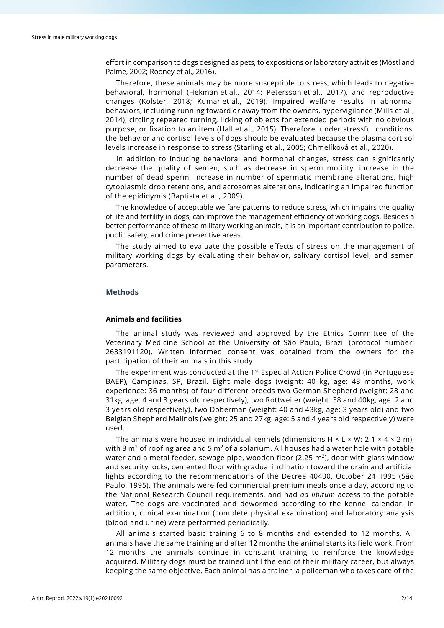effort in comparison to dogs designed as pets, to expositions or laboratory activities (Möstl and Palme, 2002; Rooney et al., 2016).

Therefore, these animals may be more susceptible to stress, which leads to negative behavioral, hormonal (Hekman et al., 2014; Petersson et al., 2017), and reproductive changes (Kolster, 2018; Kumar et al., 2019). Impaired welfare results in abnormal behaviors, including running toward or away from the owners, hypervigilance (Mills et al., 2014), circling repeated turning, licking of objects for extended periods with no obvious purpose, or fixation to an item (Hall et al., 2015). Therefore, under stressful conditions, the behavior and cortisol levels of dogs should be evaluated because the plasma cortisol levels increase in response to stress (Starling et al., 2005; Chmelíková et al., 2020).

In addition to inducing behavioral and hormonal changes, stress can significantly decrease the quality of semen, such as decrease in sperm motility, increase in the number of dead sperm, increase in number of spermatic membrane alterations, high cytoplasmic drop retentions, and acrosomes alterations, indicating an impaired function of the epididymis (Baptista et al., 2009).

The knowledge of acceptable welfare patterns to reduce stress, which impairs the quality of life and fertility in dogs, can improve the management efficiency of working dogs. Besides a better performance of these military working animals, it is an important contribution to police, public safety, and crime preventive areas.

The study aimed to evaluate the possible effects of stress on the management of military working dogs by evaluating their behavior, salivary cortisol level, and semen parameters.

# **Methods**

# **Animals and facilities**

The animal study was reviewed and approved by the Ethics Committee of the Veterinary Medicine School at the University of São Paulo, Brazil (protocol number: 2633191120). Written informed consent was obtained from the owners for the participation of their animals in this study

The experiment was conducted at the  $1<sup>st</sup>$  Especial Action Police Crowd (in Portuguese BAEP), Campinas, SP, Brazil. Eight male dogs (weight: 40 kg, age: 48 months, work experience: 36 months) of four different breeds two German Shepherd (weight: 28 and 31kg, age: 4 and 3 years old respectively), two Rottweiler (weight: 38 and 40kg, age: 2 and 3 years old respectively), two Doberman (weight: 40 and 43kg, age: 3 years old) and two Belgian Shepherd Malinois (weight: 25 and 27kg, age: 5 and 4 years old respectively) were used.

The animals were housed in individual kennels (dimensions  $H \times L \times W$ : 2.1  $\times$  4  $\times$  2 m), with 3  $m<sup>2</sup>$  of roofing area and 5  $m<sup>2</sup>$  of a solarium. All houses had a water hole with potable water and a metal feeder, sewage pipe, wooden floor (2.25  $m<sup>2</sup>$ ), door with glass window and security locks, cemented floor with gradual inclination toward the drain and artificial lights according to the recommendations of the Decree 40400, October 24 1995 (São Paulo, 1995). The animals were fed commercial premium meals once a day, according to the National Research Council requirements, and had *ad libitum* access to the potable water. The dogs are vaccinated and dewormed according to the kennel calendar. In addition, clinical examination (complete physical examination) and laboratory analysis (blood and urine) were performed periodically.

All animals started basic training 6 to 8 months and extended to 12 months. All animals have the same training and after 12 months the animal starts its field work. From 12 months the animals continue in constant training to reinforce the knowledge acquired. Military dogs must be trained until the end of their military career, but always keeping the same objective. Each animal has a trainer, a policeman who takes care of the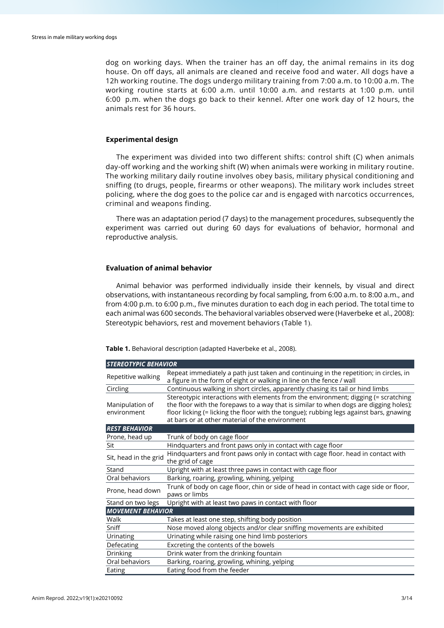dog on working days. When the trainer has an off day, the animal remains in its dog house. On off days, all animals are cleaned and receive food and water. All dogs have a 12h working routine. The dogs undergo military training from 7:00 a.m. to 10:00 a.m. The working routine starts at 6:00 a.m. until 10:00 a.m. and restarts at 1:00 p.m. until 6:00 p.m. when the dogs go back to their kennel. After one work day of 12 hours, the animals rest for 36 hours.

#### **Experimental design**

The experiment was divided into two different shifts: control shift (C) when animals day-off working and the working shift (W) when animals were working in military routine. The working military daily routine involves obey basis, military physical conditioning and sniffing (to drugs, people, firearms or other weapons). The military work includes street policing, where the dog goes to the police car and is engaged with narcotics occurrences, criminal and weapons finding.

There was an adaptation period (7 days) to the management procedures, subsequently the experiment was carried out during 60 days for evaluations of behavior, hormonal and reproductive analysis.

#### **Evaluation of animal behavior**

Animal behavior was performed individually inside their kennels, by visual and direct observations, with instantaneous recording by focal sampling, from 6:00 a.m. to 8:00 a.m., and from 4:00 p.m. to 6:00 p.m., five minutes duration to each dog in each period. The total time to each animal was 600 seconds. The behavioral variables observed were (Haverbeke et al., 2008): Stereotypic behaviors, rest and movement behaviors (Table 1).

**Table 1.** Behavioral description (adapted Haverbeke et al., 2008).

| <b>STEREOTYPIC BEHAVIOR</b>    |                                                                                                                                                                                                                                                                                                                           |  |  |  |
|--------------------------------|---------------------------------------------------------------------------------------------------------------------------------------------------------------------------------------------------------------------------------------------------------------------------------------------------------------------------|--|--|--|
| Repetitive walking             | Repeat immediately a path just taken and continuing in the repetition; in circles, in<br>a figure in the form of eight or walking in line on the fence / wall                                                                                                                                                             |  |  |  |
| Circling                       | Continuous walking in short circles, apparently chasing its tail or hind limbs                                                                                                                                                                                                                                            |  |  |  |
| Manipulation of<br>environment | Stereotypic interactions with elements from the environment; digging (= scratching<br>the floor with the forepaws to a way that is similar to when dogs are digging holes);<br>floor licking (= licking the floor with the tongue); rubbing legs against bars, gnawing<br>at bars or at other material of the environment |  |  |  |
| <b>REST BEHAVIOR</b>           |                                                                                                                                                                                                                                                                                                                           |  |  |  |
| Prone, head up                 | Trunk of body on cage floor                                                                                                                                                                                                                                                                                               |  |  |  |
| Sit                            | Hindquarters and front paws only in contact with cage floor                                                                                                                                                                                                                                                               |  |  |  |
| Sit, head in the grid          | Hindquarters and front paws only in contact with cage floor. head in contact with<br>the grid of cage                                                                                                                                                                                                                     |  |  |  |
| Stand                          | Upright with at least three paws in contact with cage floor                                                                                                                                                                                                                                                               |  |  |  |
| Oral behaviors                 | Barking, roaring, growling, whining, yelping                                                                                                                                                                                                                                                                              |  |  |  |
| Prone, head down               | Trunk of body on cage floor, chin or side of head in contact with cage side or floor,<br>paws or limbs                                                                                                                                                                                                                    |  |  |  |
| Stand on two legs              | Upright with at least two paws in contact with floor                                                                                                                                                                                                                                                                      |  |  |  |
| <b>MOVEMENT BEHAVIOR</b>       |                                                                                                                                                                                                                                                                                                                           |  |  |  |
| Walk                           | Takes at least one step, shifting body position                                                                                                                                                                                                                                                                           |  |  |  |
| Sniff                          | Nose moved along objects and/or clear sniffing movements are exhibited                                                                                                                                                                                                                                                    |  |  |  |
| Urinating                      | Urinating while raising one hind limb posteriors                                                                                                                                                                                                                                                                          |  |  |  |
| Defecating                     | Excreting the contents of the bowels                                                                                                                                                                                                                                                                                      |  |  |  |
| <b>Drinking</b>                | Drink water from the drinking fountain                                                                                                                                                                                                                                                                                    |  |  |  |
| Oral behaviors                 | Barking, roaring, growling, whining, yelping                                                                                                                                                                                                                                                                              |  |  |  |
| Eating                         | Eating food from the feeder                                                                                                                                                                                                                                                                                               |  |  |  |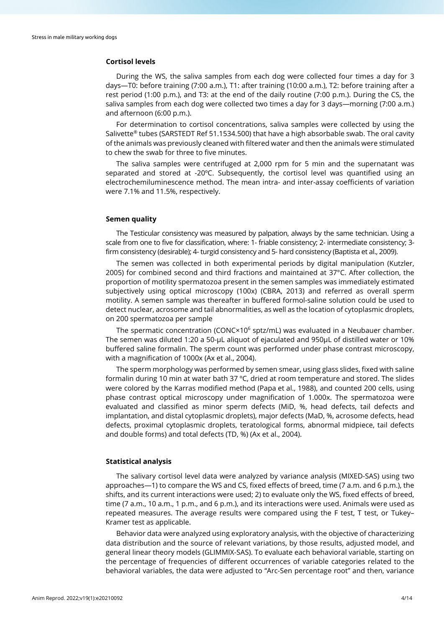# **Cortisol levels**

During the WS, the saliva samples from each dog were collected four times a day for 3 days—T0: before training (7:00 a.m.), T1: after training (10:00 a.m.), T2: before training after a rest period (1:00 p.m.), and T3: at the end of the daily routine (7:00 p.m.). During the CS, the saliva samples from each dog were collected two times a day for 3 days—morning (7:00 a.m.) and afternoon (6:00 p.m.).

For determination to cortisol concentrations, saliva samples were collected by using the Salivette® tubes (SARSTEDT Ref 51.1534.500) that have a high absorbable swab. The oral cavity of the animals was previously cleaned with filtered water and then the animals were stimulated to chew the swab for three to five minutes.

The saliva samples were centrifuged at 2,000 rpm for 5 min and the supernatant was separated and stored at -20ºC. Subsequently, the cortisol level was quantified using an electrochemiluminescence method. The mean intra- and inter-assay coefficients of variation were 7.1% and 11.5%, respectively.

#### **Semen quality**

The Testicular consistency was measured by palpation, always by the same technician. Using a scale from one to five for classification, where: 1- friable consistency; 2- intermediate consistency; 3 firm consistency (desirable); 4- turgid consistency and 5- hard consistency (Baptista et al., 2009).

The semen was collected in both experimental periods by digital manipulation (Kutzler, 2005) for combined second and third fractions and maintained at 37°C. After collection, the proportion of motility spermatozoa present in the semen samples was immediately estimated subjectively using optical microscopy (100x) (CBRA, 2013) and referred as overall sperm motility. A semen sample was thereafter in buffered formol-saline solution could be used to detect nuclear, acrosome and tail abnormalities, as well as the location of cytoplasmic droplets, on 200 spermatozoa per sample

The spermatic concentration (CONC $\times$ 10<sup>6</sup> sptz/mL) was evaluated in a Neubauer chamber. The semen was diluted 1:20 a 50-μL aliquot of ejaculated and 950μL of distilled water or 10% buffered saline formalin. The sperm count was performed under phase contrast microscopy, with a magnification of 1000x (Ax et al., 2004).

The sperm morphology was performed by semen smear, using glass slides, fixed with saline formalin during 10 min at water bath 37 ºC, dried at room temperature and stored. The slides were colored by the Karras modified method (Papa et al., 1988), and counted 200 cells, using phase contrast optical microscopy under magnification of 1.000x. The spermatozoa were evaluated and classified as minor sperm defects (MiD, %, head defects, tail defects and implantation, and distal cytoplasmic droplets), major defects (MaD, %, acrosome defects, head defects, proximal cytoplasmic droplets, teratological forms, abnormal midpiece, tail defects and double forms) and total defects (TD, %) (Ax et al., 2004).

#### **Statistical analysis**

The salivary cortisol level data were analyzed by variance analysis (MIXED-SAS) using two approaches—1) to compare the WS and CS, fixed effects of breed, time (7 a.m. and 6 p.m.), the shifts, and its current interactions were used; 2) to evaluate only the WS, fixed effects of breed, time (7 a.m., 10 a.m., 1 p.m., and 6 p.m.), and its interactions were used. Animals were used as repeated measures. The average results were compared using the F test, T test, or Tukey– Kramer test as applicable.

Behavior data were analyzed using exploratory analysis, with the objective of characterizing data distribution and the source of relevant variations, by those results, adjusted model, and general linear theory models (GLIMMIX-SAS). To evaluate each behavioral variable, starting on the percentage of frequencies of different occurrences of variable categories related to the behavioral variables, the data were adjusted to "Arc-Sen percentage root" and then, variance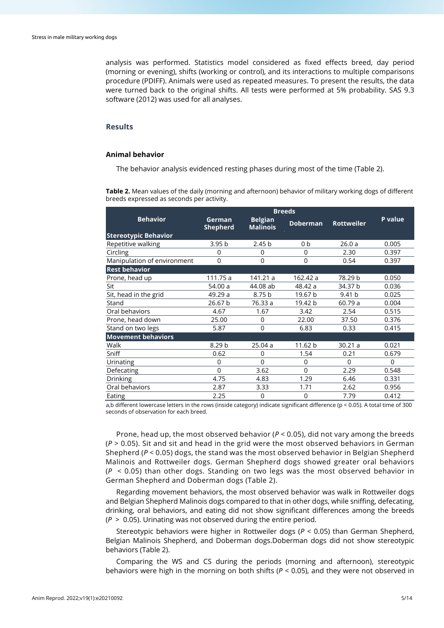analysis was performed. Statistics model considered as fixed effects breed, day period (morning or evening), shifts (working or control), and its interactions to multiple comparisons procedure (PDIFF). Animals were used as repeated measures. To present the results, the data were turned back to the original shifts. All tests were performed at 5% probability. SAS 9.3 software (2012) was used for all analyses.

# **Results**

#### **Animal behavior**

The behavior analysis evidenced resting phases during most of the time (Table 2).

**Table 2.** Mean values of the daily (morning and afternoon) behavior of military working dogs of different breeds expressed as seconds per activity.

| <b>Behavior</b>             | German<br><b>Shepherd</b> | <b>Belgian</b><br><b>Malinois</b> | <b>Doberman</b> | <b>Rottweiler</b> | P value |  |
|-----------------------------|---------------------------|-----------------------------------|-----------------|-------------------|---------|--|
| <b>Stereotypic Behavior</b> |                           |                                   |                 |                   |         |  |
| Repetitive walking          | 3.95 <sub>b</sub>         | 2.45 <sub>b</sub>                 | 0b              | 26.0a             | 0.005   |  |
| Circling                    | $\Omega$                  | 0                                 | $\mathbf 0$     | 2.30              | 0.397   |  |
| Manipulation of environment | 0                         | 0                                 | 0               | 0.54              | 0.397   |  |
| <b>Rest behavior</b>        |                           |                                   |                 |                   |         |  |
| Prone, head up              | 111.75 a                  | 141.21 a                          | 162.42 a        | 78.29 b           | 0.050   |  |
| Sit                         | 54.00 a                   | 44.08 ab                          | 48.42 a         | 34.37 b           | 0.036   |  |
| Sit, head in the grid       | 49.29 a                   | 8.75 b                            | 19.67 b         | 9.41 <sub>b</sub> | 0.025   |  |
| Stand                       | 26.67 b                   | 76.33 a                           | 19.42 b         | 60.79 a           | 0.004   |  |
| Oral behaviors              | 4.67                      | 1.67                              | 3.42            | 2.54              | 0.515   |  |
| Prone, head down            | 25.00                     | 0                                 | 22.00           | 37.50             | 0.376   |  |
| Stand on two legs           | 5.87                      | 0                                 | 6.83            | 0.33              | 0.415   |  |
| <b>Movement behaviors</b>   |                           |                                   |                 |                   |         |  |
| Walk                        | 8.29 b                    | 25.04a                            | 11.62 b         | 30.21a            | 0.021   |  |
| Sniff                       | 0.62                      | 0                                 | 1.54            | 0.21              | 0.679   |  |
| Urinating                   | $\Omega$                  | $\Omega$                          | $\overline{0}$  | $\Omega$          | 0       |  |
| Defecating                  | 0                         | 3.62                              | 0               | 2.29              | 0.548   |  |
| <b>Drinking</b>             | 4.75                      | 4.83                              | 1.29            | 6.46              | 0.331   |  |
| Oral behaviors              | 2.87                      | 3.33                              | 1.71            | 2.62              | 0.956   |  |
| Eating                      | 2.25                      | $\mathbf 0$                       | 0               | 7.79              | 0.412   |  |

a,b different lowercase letters in the rows (inside category) indicate significant difference (p < 0.05). A total time of 300 seconds of observation for each breed.

Prone, head up, the most observed behavior  $(P < 0.05)$ , did not vary among the breeds (*P* > 0.05). Sit and sit and head in the grid were the most observed behaviors in German Shepherd (*P* < 0.05) dogs, the stand was the most observed behavior in Belgian Shepherd Malinois and Rottweiler dogs. German Shepherd dogs showed greater oral behaviors (*P* < 0.05) than other dogs. Standing on two legs was the most observed behavior in German Shepherd and Doberman dogs (Table 2).

Regarding movement behaviors, the most observed behavior was walk in Rottweiler dogs and Belgian Shepherd Malinois dogs compared to that in other dogs, while sniffing, defecating, drinking, oral behaviors, and eating did not show significant differences among the breeds (*P* > 0.05). Urinating was not observed during the entire period.

Stereotypic behaviors were higher in Rottweiler dogs (*P* < 0.05) than German Shepherd, Belgian Malinois Shepherd, and Doberman dogs.Doberman dogs did not show stereotypic behaviors (Table 2).

Comparing the WS and CS during the periods (morning and afternoon), stereotypic behaviors were high in the morning on both shifts (*P* < 0.05), and they were not observed in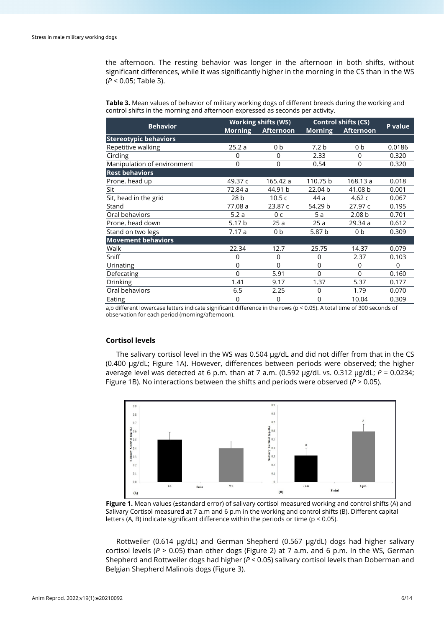the afternoon. The resting behavior was longer in the afternoon in both shifts, without significant differences, while it was significantly higher in the morning in the CS than in the WS (*P* < 0.05; Table 3).

**Table 3.** Mean values of behavior of military working dogs of different breeds during the working and control shifts in the morning and afternoon expressed as seconds per activity.

| <b>Behavior</b>              |                   | <b>Working shifts (WS)</b> | <b>Control shifts (CS)</b> | <b>P</b> value    |          |
|------------------------------|-------------------|----------------------------|----------------------------|-------------------|----------|
|                              | <b>Morning</b>    | Afternoon                  |                            | Morning Afternoon |          |
| <b>Stereotypic behaviors</b> |                   |                            |                            |                   |          |
| Repetitive walking           | 25.2a             | 0b                         | 7.2 <sub>b</sub>           | 0b                | 0.0186   |
| Circling                     | 0                 | $\Omega$                   | 2.33                       | 0                 | 0.320    |
| Manipulation of environment  | 0                 | $\Omega$                   | 0.54                       | 0                 | 0.320    |
| <b>Rest behaviors</b>        |                   |                            |                            |                   |          |
| Prone, head up               | 49.37 c           | 165.42 a                   | 110.75 b                   | 168.13 a          | 0.018    |
| Sit                          | 72.84 a           | 44.91 b                    | 22.04 b                    | 41.08 b           | 0.001    |
| Sit, head in the grid        | 28 <sub>b</sub>   | 10.5c                      | 44 a                       | 4.62 $c$          | 0.067    |
| Stand                        | 77.08 a           | 23.87 c                    | 54.29 b                    | 27.97 c           | 0.195    |
| Oral behaviors               | 5.2a              | 0 c                        | 5a                         | 2.08 <sub>b</sub> | 0.701    |
| Prone, head down             | 5.17 <sub>b</sub> | 25a                        | 25a                        | 29.34 a           | 0.612    |
| Stand on two legs            | 7.17a             | 0 <sub>b</sub>             | 5.87 b                     | 0 <sub>b</sub>    | 0.309    |
| <b>Movement behaviors</b>    |                   |                            |                            |                   |          |
| Walk                         | 22.34             | 12.7                       | 25.75                      | 14.37             | 0.079    |
| Sniff                        | 0                 | $\Omega$                   | 0                          | 2.37              | 0.103    |
| Urinating                    | $\mathbf 0$       | $\Omega$                   | 0                          | $\Omega$          | $\Omega$ |
| Defecating                   | 0                 | 5.91                       | $\Omega$                   | 0                 | 0.160    |
| <b>Drinking</b>              | 1.41              | 9.17                       | 1.37                       | 5.37              | 0.177    |
| Oral behaviors               | 6.5               | 2.25                       | 0                          | 1.79              | 0.070    |
| Eating                       | $\mathbf 0$       | 0                          | 0                          | 10.04             | 0.309    |

a,b different lowercase letters indicate significant difference in the rows (p < 0.05). A total time of 300 seconds of observation for each period (morning/afternoon).

# **Cortisol levels**

The salivary cortisol level in the WS was 0.504  $\mu$ g/dL and did not differ from that in the CS (0.400 µg/dL; Figure 1A). However, differences between periods were observed; the higher average level was detected at 6 p.m. than at 7 a.m. (0.592 µg/dL vs. 0.312 µg/dL; *P* = 0.0234; Figure 1B). No interactions between the shifts and periods were observed (*P* > 0.05).



**Figure 1.** Mean values (±standard error) of salivary cortisol measured working and control shifts (A) and Salivary Cortisol measured at 7 a.m and 6 p.m in the working and control shifts (B). Different capital letters (A, B) indicate significant difference within the periods or time (p < 0.05).

Rottweiler (0.614 µg/dL) and German Shepherd (0.567 µg/dL) dogs had higher salivary cortisol levels (*P* > 0.05) than other dogs (Figure 2) at 7 a.m. and 6 p.m. In the WS, German Shepherd and Rottweiler dogs had higher (*P* < 0.05) salivary cortisol levels than Doberman and Belgian Shepherd Malinois dogs (Figure 3).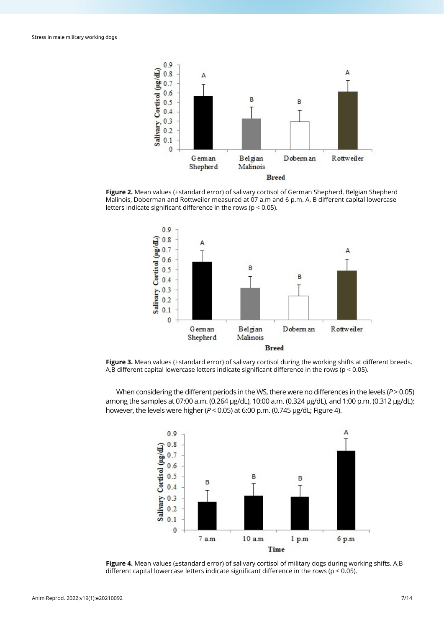

**Figure 2.** Mean values (±standard error) of salivary cortisol of German Shepherd, Belgian Shepherd Malinois, Doberman and Rottweiler measured at 07 a.m and 6 p.m. A, B different capital lowercase letters indicate significant difference in the rows (p < 0.05).



**Figure 3.** Mean values (±standard error) of salivary cortisol during the working shifts at different breeds. A,B different capital lowercase letters indicate significant difference in the rows (p < 0.05).

When considering the different periods in the WS, there were no differences in the levels (*P* > 0.05) among the samples at 07:00 a.m. (0.264 µg/dL), 10:00 a.m. (0.324 µg/dL), and 1:00 p.m. (0.312 µg/dL); however, the levels were higher (*P* < 0.05) at 6:00 p.m. (0.745 µg/dL; Figure 4).



**Figure 4.** Mean values (±standard error) of salivary cortisol of military dogs during working shifts. A,B different capital lowercase letters indicate significant difference in the rows ( $p < 0.05$ ).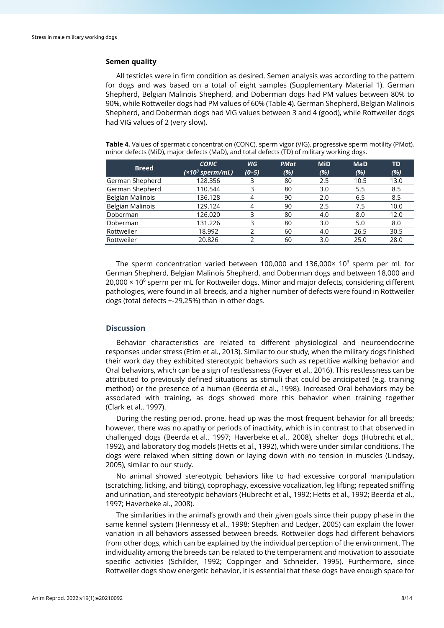# **Semen quality**

All testicles were in firm condition as desired. Semen analysis was according to the pattern for dogs and was based on a total of eight samples (Supplementary Material 1). German Shepherd, Belgian Malinois Shepherd, and Doberman dogs had PM values between 80% to 90%, while Rottweiler dogs had PM values of 60% (Table 4). German Shepherd, Belgian Malinois Shepherd, and Doberman dogs had VIG values between 3 and 4 (good), while Rottweiler dogs had VIG values of 2 (very slow).

| <b>Breed</b>            | <b>CONC</b><br>(×10 <sup>3</sup> sperm/mL) | <b>VIG</b><br>$(0-5)$ | <b>PMot</b><br>(%) | <b>MiD</b><br>(%) | <b>MaD</b><br>(%) | TD<br>(%) |
|-------------------------|--------------------------------------------|-----------------------|--------------------|-------------------|-------------------|-----------|
| German Shepherd         | 128.356                                    |                       | 80                 | 2.5               | 10.5              | 13.0      |
| German Shepherd         | 110.544                                    | 3                     | 80                 | 3.0               | 5.5               | 8.5       |
| <b>Belgian Malinois</b> | 136.128                                    | 4                     | 90                 | 2.0               | 6.5               | 8.5       |
| Belgian Malinois        | 129.124                                    | 4                     | 90                 | 2.5               | 7.5               | 10.0      |
| Doberman                | 126.020                                    | 3                     | 80                 | 4.0               | 8.0               | 12.0      |
| Doberman                | 131.226                                    | 3                     | 80                 | 3.0               | 5.0               | 8.0       |
| Rottweiler              | 18.992                                     |                       | 60                 | 4.0               | 26.5              | 30.5      |
| Rottweiler              | 20.826                                     |                       | 60                 | 3.0               | 25.0              | 28.0      |

**Table 4.** Values of spermatic concentration (CONC), sperm vigor (VIG), progressive sperm motility (PMot), minor defects (MiD), major defects (MaD), and total defects (TD) of military working dogs.

The sperm concentration varied between 100,000 and 136,000 $\times$  10<sup>3</sup> sperm per mL for German Shepherd, Belgian Malinois Shepherd, and Doberman dogs and between 18,000 and  $20,000 \times 10^6$  sperm per mL for Rottweiler dogs. Minor and major defects, considering different pathologies, were found in all breeds, and a higher number of defects were found in Rottweiler dogs (total defects +-29,25%) than in other dogs.

# **Discussion**

Behavior characteristics are related to different physiological and neuroendocrine responses under stress (Etim et al., 2013). Similar to our study, when the military dogs finished their work day they exhibited stereotypic behaviors such as repetitive walking behavior and Oral behaviors, which can be a sign of restlessness (Foyer et al., 2016). This restlessness can be attributed to previously defined situations as stimuli that could be anticipated (e.g. training method) or the presence of a human (Beerda et al., 1998). Increased Oral behaviors may be associated with training, as dogs showed more this behavior when training together (Clark et al., 1997).

During the resting period, prone, head up was the most frequent behavior for all breeds; however, there was no apathy or periods of inactivity, which is in contrast to that observed in challenged dogs (Beerda et al., 1997; Haverbeke et al., 2008), shelter dogs (Hubrecht et al., 1992), and laboratory dog models (Hetts et al., 1992), which were under similar conditions. The dogs were relaxed when sitting down or laying down with no tension in muscles (Lindsay, 2005), similar to our study.

No animal showed stereotypic behaviors like to had excessive corporal manipulation (scratching, licking, and biting), coprophagy, excessive vocalization, leg lifting; repeated sniffing and urination, and stereotypic behaviors (Hubrecht et al., 1992; Hetts et al., 1992; Beerda et al., 1997; Haverbeke al., 2008).

The similarities in the animal's growth and their given goals since their puppy phase in the same kennel system (Hennessy et al., 1998; Stephen and Ledger, 2005) can explain the lower variation in all behaviors assessed between breeds. Rottweiler dogs had different behaviors from other dogs, which can be explained by the individual perception of the environment. The individuality among the breeds can be related to the temperament and motivation to associate specific activities (Schilder, 1992; Coppinger and Schneider, 1995). Furthermore, since Rottweiler dogs show energetic behavior, it is essential that these dogs have enough space for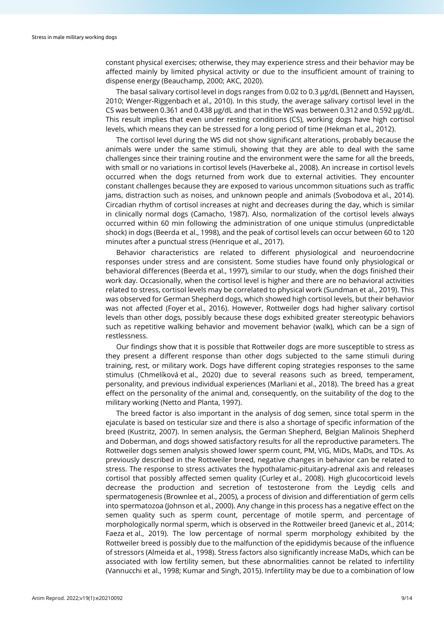constant physical exercises; otherwise, they may experience stress and their behavior may be affected mainly by limited physical activity or due to the insufficient amount of training to dispense energy (Beauchamp, 2000; AKC, 2020).

The basal salivary cortisol level in dogs ranges from 0.02 to 0.3 μg/dL (Bennett and Hayssen, 2010; Wenger-Riggenbach et al., 2010). In this study, the average salivary cortisol level in the CS was between 0.361 and 0.438 μg/dL and that in the WS was between 0.312 and 0.592 μg/dL. This result implies that even under resting conditions (CS), working dogs have high cortisol levels, which means they can be stressed for a long period of time (Hekman et al., 2012).

The cortisol level during the WS did not show significant alterations, probably because the animals were under the same stimuli, showing that they are able to deal with the same challenges since their training routine and the environment were the same for all the breeds, with small or no variations in cortisol levels (Haverbeke al., 2008). An increase in cortisol levels occurred when the dogs returned from work due to external activities. They encounter constant challenges because they are exposed to various uncommon situations such as traffic jams, distraction such as noises, and unknown people and animals (Svobodova et al., 2014). Circadian rhythm of cortisol increases at night and decreases during the day, which is similar in clinically normal dogs (Camacho, 1987). Also, normalization of the cortisol levels always occurred within 60 min following the administration of one unique stimulus (unpredictable shock) in dogs (Beerda et al., 1998), and the peak of cortisol levels can occur between 60 to 120 minutes after a punctual stress (Henrique et al., 2017).

Behavior characteristics are related to different physiological and neuroendocrine responses under stress and are consistent. Some studies have found only physiological or behavioral differences (Beerda et al., 1997), similar to our study, when the dogs finished their work day. Occasionally, when the cortisol level is higher and there are no behavioral activities related to stress, cortisol levels may be correlated to physical work (Sundman et al., 2019). This was observed for German Shepherd dogs, which showed high cortisol levels, but their behavior was not affected (Foyer et al., 2016). However, Rottweiler dogs had higher salivary cortisol levels than other dogs, possibly because these dogs exhibited greater stereotypic behaviors such as repetitive walking behavior and movement behavior (walk), which can be a sign of restlessness.

Our findings show that it is possible that Rottweiler dogs are more susceptible to stress as they present a different response than other dogs subjected to the same stimuli during training, rest, or military work. Dogs have different coping strategies responses to the same stimulus (Chmelíková et al., 2020) due to several reasons such as breed, temperament, personality, and previous individual experiences (Marliani et al., 2018). The breed has a great effect on the personality of the animal and, consequently, on the suitability of the dog to the military working (Netto and Planta, 1997).

The breed factor is also important in the analysis of dog semen, since total sperm in the ejaculate is based on testicular size and there is also a shortage of specific information of the breed (Kustritz, 2007). In semen analysis, the German Shepherd, Belgian Malinois Shepherd and Doberman, and dogs showed satisfactory results for all the reproductive parameters. The Rottweiler dogs semen analysis showed lower sperm count, PM, VIG, MiDs, MaDs, and TDs. As previously described in the Rottweiler breed, negative changes in behavior can be related to stress. The response to stress activates the hypothalamic-pituitary-adrenal axis and releases cortisol that possibly affected semen quality (Curley et al., 2008). High glucocorticoid levels decrease the production and secretion of testosterone from the Leydig cells and spermatogenesis (Brownlee et al., 2005), a process of division and differentiation of germ cells into spermatozoa (Johnson et al., 2000). Any change in this process has a negative effect on the semen quality such as sperm count, percentage of motile sperm, and percentage of morphologically normal sperm, which is observed in the Rottweiler breed (Janevic et al., 2014; Faeza et al., 2019). The low percentage of normal sperm morphology exhibited by the Rottweiler breed is possibly due to the malfunction of the epididymis because of the influence of stressors (Almeida et al., 1998). Stress factors also significantly increase MaDs, which can be associated with low fertility semen, but these abnormalities cannot be related to infertility (Vannucchi et al., 1998; Kumar and Singh, 2015). Infertility may be due to a combination of low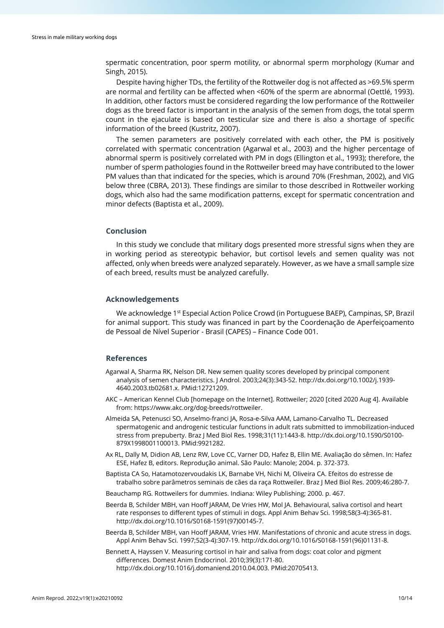spermatic concentration, poor sperm motility, or abnormal sperm morphology (Kumar and Singh, 2015).

Despite having higher TDs, the fertility of the Rottweiler dog is not affected as >69.5% sperm are normal and fertility can be affected when <60% of the sperm are abnormal (Oettlé, 1993). In addition, other factors must be considered regarding the low performance of the Rottweiler dogs as the breed factor is important in the analysis of the semen from dogs, the total sperm count in the ejaculate is based on testicular size and there is also a shortage of specific information of the breed (Kustritz, 2007).

The semen parameters are positively correlated with each other, the PM is positively correlated with spermatic concentration (Agarwal et al., 2003) and the higher percentage of abnormal sperm is positively correlated with PM in dogs (Ellington et al., 1993); therefore, the number of sperm pathologies found in the Rottweiler breed may have contributed to the lower PM values than that indicated for the species, which is around 70% (Freshman, 2002), and VIG below three (CBRA, 2013). These findings are similar to those described in Rottweiler working dogs, which also had the same modification patterns, except for spermatic concentration and minor defects (Baptista et al., 2009).

#### **Conclusion**

In this study we conclude that military dogs presented more stressful signs when they are in working period as stereotypic behavior, but cortisol levels and semen quality was not affected, only when breeds were analyzed separately. However, as we have a small sample size of each breed, results must be analyzed carefully.

#### **Acknowledgements**

We acknowledge 1<sup>st</sup> Especial Action Police Crowd (in Portuguese BAEP), Campinas, SP, Brazil for animal support. This study was financed in part by the Coordenação de Aperfeiçoamento de Pessoal de Nível Superior - Brasil (CAPES) – Finance Code 001.

# **References**

- Agarwal A, Sharma RK, Nelson DR. New semen quality scores developed by principal component analysis of semen characteristics. J Androl. 2003;24(3):343-52[. http://dx.doi.org/10.1002/j.1939-](https://doi.org/10.1002/j.1939-4640.2003.tb02681.x) [4640.2003.tb02681.x.](https://doi.org/10.1002/j.1939-4640.2003.tb02681.x) [PMid:12721209.](https://www.ncbi.nlm.nih.gov/entrez/query.fcgi?cmd=Retrieve&db=PubMed&list_uids=12721209&dopt=Abstract)
- AKC American Kennel Club [homepage on the Internet]. Rottweiler; 2020 [cited 2020 Aug 4]. Available from: https://www.akc.org/dog-breeds/rottweiler.
- Almeida SA, Petenusci SO, Anselmo-franci JA, Rosa-e-Silva AAM, Lamano-Carvalho TL. Decreased spermatogenic and androgenic testicular functions in adult rats submitted to immobilization-induced stress from prepuberty. Braz J Med Biol Res. 1998;31(11):1443-8[. http://dx.doi.org/10.1590/S0100-](https://doi.org/10.1590/S0100-879X1998001100013) [879X1998001100013.](https://doi.org/10.1590/S0100-879X1998001100013) [PMid:9921282.](https://www.ncbi.nlm.nih.gov/entrez/query.fcgi?cmd=Retrieve&db=PubMed&list_uids=9921282&dopt=Abstract)
- Ax RL, Dally M, Didion AB, Lenz RW, Love CC, Varner DD, Hafez B, Ellin ME. Avaliação do sêmen. In: Hafez ESE, Hafez B, editors. Reprodução animal. São Paulo: Manole; 2004. p. 372-373.
- Baptista CA So, Hatamotozervoudakis LK, Barnabe VH, Nichi M, Oliveira CA. Efeitos do estresse de trabalho sobre parâmetros seminais de cães da raça Rottweiler. Braz J Med Biol Res. 2009;46:280-7.
- Beauchamp RG. Rottweilers for dummies. Indiana: Wiley Publishing; 2000. p. 467.
- Beerda B, Schilder MBH, van Hooff JARAM, De Vries HW, Mol JA. Behavioural, saliva cortisol and heart rate responses to different types of stimuli in dogs. Appl Anim Behav Sci. 1998;58(3-4):365-81. [http://dx.doi.org/10.1016/S0168-1591\(97\)00145-7.](https://doi.org/10.1016/S0168-1591(97)00145-7)
- Beerda B, Schilder MBH, van Hooff JARAM, Vries HW. Manifestations of chronic and acute stress in dogs. Appl Anim Behav Sci. 1997;52(3-4):307-19[. http://dx.doi.org/10.1016/S0168-1591\(96\)01131-8.](https://doi.org/10.1016/S0168-1591(96)01131-8)
- Bennett A, Hayssen V. Measuring cortisol in hair and saliva from dogs: coat color and pigment differences. Domest Anim Endocrinol. 2010;39(3):171-80. [http://dx.doi.org/10.1016/j.domaniend.2010.04.003.](https://doi.org/10.1016/j.domaniend.2010.04.003) [PMid:20705413.](https://www.ncbi.nlm.nih.gov/entrez/query.fcgi?cmd=Retrieve&db=PubMed&list_uids=20705413&dopt=Abstract)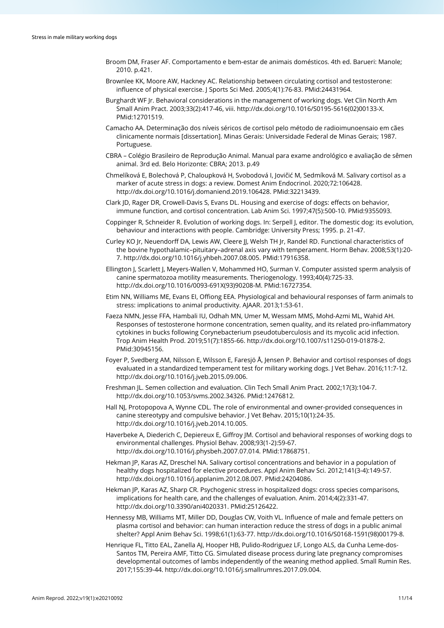- Broom DM, Fraser AF. Comportamento e bem-estar de animais domésticos. 4th ed. Barueri: Manole; 2010. p.421.
- Brownlee KK, Moore AW, Hackney AC. Relationship between circulating cortisol and testosterone: influence of physical exercise. J Sports Sci Med. 2005;4(1):76-83. [PMid:24431964.](https://www.ncbi.nlm.nih.gov/entrez/query.fcgi?cmd=Retrieve&db=PubMed&list_uids=24431964&dopt=Abstract)
- Burghardt WF Jr. Behavioral considerations in the management of working dogs. Vet Clin North Am Small Anim Pract. 2003;33(2):417-46, viii[. http://dx.doi.org/10.1016/S0195-5616\(02\)00133-X](https://doi.org/10.1016/S0195-5616(02)00133-X)[.](https://www.ncbi.nlm.nih.gov/entrez/query.fcgi?cmd=Retrieve&db=PubMed&list_uids=12701519&dopt=Abstract) [PMid:12701519.](https://www.ncbi.nlm.nih.gov/entrez/query.fcgi?cmd=Retrieve&db=PubMed&list_uids=12701519&dopt=Abstract)
- Camacho AA. Determinação dos níveis séricos de cortisol pelo método de radioimunoensaio em cães clinicamente normais [dissertation]. Minas Gerais: Universidade Federal de Minas Gerais; 1987. Portuguese.
- CBRA Colégio Brasileiro de Reprodução Animal. Manual para exame andrológico e avaliação de sêmen animal. 3rd ed. Belo Horizonte: CBRA; 2013. p.49
- Chmelíková E, Bolechová P, Chaloupková H, Svobodová I, Jovičić M, Sedmíková M. Salivary cortisol as a marker of acute stress in dogs: a review. Domest Anim Endocrinol. 2020;72:106428. [http://dx.doi.org/10.1016/j.domaniend.2019.106428.](https://doi.org/10.1016/j.domaniend.2019.106428) [PMid:32213439.](https://www.ncbi.nlm.nih.gov/entrez/query.fcgi?cmd=Retrieve&db=PubMed&list_uids=32213439&dopt=Abstract)
- Clark JD, Rager DR, Crowell-Davis S, Evans DL. Housing and exercise of dogs: effects on behavior, immune function, and cortisol concentration. Lab Anim Sci. 1997;47(5):500-10. [PMid:9355093.](https://www.ncbi.nlm.nih.gov/entrez/query.fcgi?cmd=Retrieve&db=PubMed&list_uids=9355093&dopt=Abstract)
- Coppinger R, Schneider R. Evolution of working dogs. In: Serpell J, editor. The domestic dog: its evolution, behaviour and interactions with people. Cambridge: University Press; 1995. p. 21-47.
- Curley KO Jr, Neuendorff DA, Lewis AW, Cleere JJ, Welsh TH Jr, Randel RD. Functional characteristics of the bovine hypothalamic–pituitary–adrenal axis vary with temperament. Horm Behav. 2008;53(1):20- 7[. http://dx.doi.org/10.1016/j.yhbeh.2007.08.005.](https://doi.org/10.1016/j.yhbeh.2007.08.005) [PMid:17916358.](https://www.ncbi.nlm.nih.gov/entrez/query.fcgi?cmd=Retrieve&db=PubMed&list_uids=17916358&dopt=Abstract)
- Ellington J, Scarlett J, Meyers-Wallen V, Mohammed HO, Surman V. Computer assisted sperm analysis of canine spermatozoa motility measurements. Theriogenology. 1993;40(4):725-33. [http://dx.doi.org/10.1016/0093-691X\(93\)90208-M.](https://doi.org/10.1016/0093-691X(93)90208-M) [PMid:16727354.](https://www.ncbi.nlm.nih.gov/entrez/query.fcgi?cmd=Retrieve&db=PubMed&list_uids=16727354&dopt=Abstract)
- Etim NN, Williams ME, Evans EI, Offiong EEA. Physiological and behavioural responses of farm animals to stress: implications to animal productivity. AJAAR. 2013;1:53-61.
- Faeza NMN, Jesse FFA, Hambali IU, Odhah MN, Umer M, Wessam MMS, Mohd-Azmi ML, Wahid AH. Responses of testosterone hormone concentration, semen quality, and its related pro-inflammatory cytokines in bucks following Corynebacterium pseudotuberculosis and its mycolic acid infection. Trop Anim Health Prod. 2019;51(7):1855-66[. http://dx.doi.org/10.1007/s11250-019-01878-2](https://doi.org/10.1007/s11250-019-01878-2)[.](https://www.ncbi.nlm.nih.gov/entrez/query.fcgi?cmd=Retrieve&db=PubMed&list_uids=30945156&dopt=Abstract) [PMid:30945156.](https://www.ncbi.nlm.nih.gov/entrez/query.fcgi?cmd=Retrieve&db=PubMed&list_uids=30945156&dopt=Abstract)
- Foyer P, Svedberg AM, Nilsson E, Wilsson E, Faresjö Å, Jensen P. Behavior and cortisol responses of dogs evaluated in a standardized temperament test for military working dogs. J Vet Behav. 2016;11:7-12. [http://dx.doi.org/10.1016/j.jveb.2015.09.006.](https://doi.org/10.1016/j.jveb.2015.09.006)
- Freshman JL. Semen collection and evaluation. Clin Tech Small Anim Pract. 2002;17(3):104-7. [http://dx.doi.org/10.1053/svms.2002.34326.](https://doi.org/10.1053/svms.2002.34326) [PMid:12476812.](https://www.ncbi.nlm.nih.gov/entrez/query.fcgi?cmd=Retrieve&db=PubMed&list_uids=12476812&dopt=Abstract)
- Hall NJ, Protopopova A, Wynne CDL. The role of environmental and owner-provided consequences in canine stereotypy and compulsive behavior. J Vet Behav. 2015;10(1):24-35. [http://dx.doi.org/10.1016/j.jveb.2014.10.005.](https://doi.org/10.1016/j.jveb.2014.10.005)
- Haverbeke A, Diederich C, Depiereux E, Giffroy JM. Cortisol and behavioral responses of working dogs to environmental challenges. Physiol Behav. 2008;93(1-2):59-67. [http://dx.doi.org/10.1016/j.physbeh.2007.07.014.](https://doi.org/10.1016/j.physbeh.2007.07.014) [PMid:17868751.](https://www.ncbi.nlm.nih.gov/entrez/query.fcgi?cmd=Retrieve&db=PubMed&list_uids=17868751&dopt=Abstract)
- Hekman JP, Karas AZ, Dreschel NA. Salivary cortisol concentrations and behavior in a population of healthy dogs hospitalized for elective procedures. Appl Anim Behav Sci. 2012;141(3-4):149-57. [http://dx.doi.org/10.1016/j.applanim.2012.08.007.](https://doi.org/10.1016/j.applanim.2012.08.007) [PMid:24204086.](https://www.ncbi.nlm.nih.gov/entrez/query.fcgi?cmd=Retrieve&db=PubMed&list_uids=24204086&dopt=Abstract)
- Hekman JP, Karas AZ, Sharp CR. Psychogenic stress in hospitalized dogs: cross species comparisons, implications for health care, and the challenges of evaluation. Anim. 2014;4(2):331-47. [http://dx.doi.org/10.3390/ani4020331.](https://doi.org/10.3390/ani4020331) [PMid:25126422.](https://www.ncbi.nlm.nih.gov/entrez/query.fcgi?cmd=Retrieve&db=PubMed&list_uids=25126422&dopt=Abstract)
- Hennessy MB, Williams MT, Miller DD, Douglas CW, Voith VL. Influence of male and female petters on plasma cortisol and behavior: can human interaction reduce the stress of dogs in a public animal shelter? Appl Anim Behav Sci. 1998;61(1):63-77[. http://dx.doi.org/10.1016/S0168-1591\(98\)00179-8.](https://doi.org/10.1016/S0168-1591(98)00179-8)
- Henrique FL, Titto EAL, Zanella AJ, Hooper HB, Pulido-Rodriguez LF, Longo ALS, da Cunha Leme-dos-Santos TM, Pereira AMF, Titto CG. Simulated disease process during late pregnancy compromises developmental outcomes of lambs independently of the weaning method applied. Small Rumin Res. 2017;155:39-44[. http://dx.doi.org/10.1016/j.smallrumres.2017.09.004.](https://doi.org/10.1016/j.smallrumres.2017.09.004)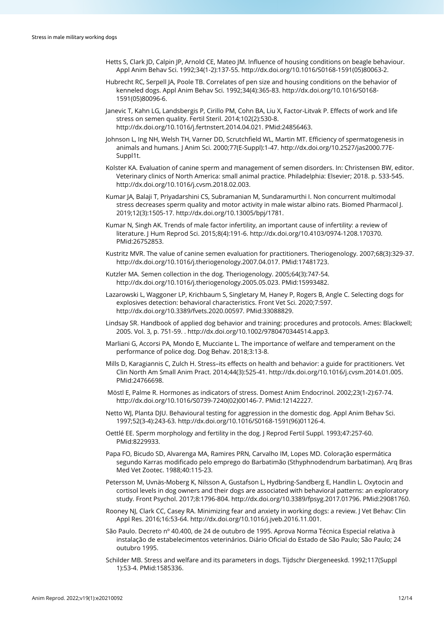- Hetts S, Clark JD, Calpin JP, Arnold CE, Mateo JM. Influence of housing conditions on beagle behaviour. Appl Anim Behav Sci. 1992;34(1-2):137-55[. http://dx.doi.org/10.1016/S0168-1591\(05\)80063-2.](https://doi.org/10.1016/S0168-1591(05)80063-2)
- Hubrecht RC, Serpell JA, Poole TB. Correlates of pen size and housing conditions on the behavior of kenneled dogs. Appl Anim Behav Sci. 1992;34(4):365-83[. http://dx.doi.org/10.1016/S0168-](https://doi.org/10.1016/S0168-1591(05)80096-6) [1591\(05\)80096-6.](https://doi.org/10.1016/S0168-1591(05)80096-6)
- Janevic T, Kahn LG, Landsbergis P, Cirillo PM, Cohn BA, Liu X, Factor-Litvak P. Effects of work and life stress on semen quality. Fertil Steril. 2014;102(2):530-8. [http://dx.doi.org/10.1016/j.fertnstert.2014.04.021.](https://doi.org/10.1016/j.fertnstert.2014.04.021) [PMid:24856463.](https://www.ncbi.nlm.nih.gov/entrez/query.fcgi?cmd=Retrieve&db=PubMed&list_uids=24856463&dopt=Abstract)
- Johnson L, Ing NH, Welsh TH, Varner DD, Scrutchfield WL, Martin MT. Efficiency of spermatogenesis in animals and humans. J Anim Sci. 2000;77(E-Suppl):1-47[. http://dx.doi.org/10.2527/jas2000.77E-](https://doi.org/10.2527/jas2000.77E-Suppl1t)[Suppl1t.](https://doi.org/10.2527/jas2000.77E-Suppl1t)
- Kolster KA. Evaluation of canine sperm and management of semen disorders. In: Christensen BW, editor. Veterinary clinics of North America: small animal practice. Philadelphia: Elsevier; 2018. p. 533-545. [http://dx.doi.org/10.1016/j.cvsm.2018.02.003.](https://doi.org/10.1016/j.cvsm.2018.02.003)
- Kumar JA, Balaji T, Priyadarshini CS, Subramanian M, Sundaramurthi I. Non concurrent multimodal stress decreases sperm quality and motor activity in male wistar albino rats. Biomed Pharmacol J. 2019;12(3):1505-17. [http://dx.doi.org/10.13005/bpj/1781.](https://doi.org/10.13005/bpj/1781)
- Kumar N, Singh AK. Trends of male factor infertility, an important cause of infertility: a review of literature. J Hum Reprod Sci. 2015;8(4):191-6[. http://dx.doi.org/10.4103/0974-1208.170370](https://doi.org/10.4103/0974-1208.170370)[.](https://www.ncbi.nlm.nih.gov/entrez/query.fcgi?cmd=Retrieve&db=PubMed&list_uids=26752853&dopt=Abstract) [PMid:26752853.](https://www.ncbi.nlm.nih.gov/entrez/query.fcgi?cmd=Retrieve&db=PubMed&list_uids=26752853&dopt=Abstract)
- Kustritz MVR. The value of canine semen evaluation for practitioners. Theriogenology. 2007;68(3):329-37. [http://dx.doi.org/10.1016/j.theriogenology.2007.04.017.](https://doi.org/10.1016/j.theriogenology.2007.04.017) [PMid:17481723.](https://www.ncbi.nlm.nih.gov/entrez/query.fcgi?cmd=Retrieve&db=PubMed&list_uids=17481723&dopt=Abstract)
- Kutzler MA. Semen collection in the dog. Theriogenology. 2005;64(3):747-54. [http://dx.doi.org/10.1016/j.theriogenology.2005.05.023.](https://doi.org/10.1016/j.theriogenology.2005.05.023) [PMid:15993482.](https://www.ncbi.nlm.nih.gov/entrez/query.fcgi?cmd=Retrieve&db=PubMed&list_uids=15993482&dopt=Abstract)
- Lazarowski L, Waggoner LP, Krichbaum S, Singletary M, Haney P, Rogers B, Angle C. Selecting dogs for explosives detection: behavioral characteristics. Front Vet Sci. 2020;7:597. [http://dx.doi.org/10.3389/fvets.2020.00597.](https://doi.org/10.3389/fvets.2020.00597) [PMid:33088829.](https://www.ncbi.nlm.nih.gov/entrez/query.fcgi?cmd=Retrieve&db=PubMed&list_uids=33088829&dopt=Abstract)
- Lindsay SR. Handbook of applied dog behavior and training: procedures and protocols. Ames: Blackwell; 2005. Vol. 3, p. 751-59. [. http://dx.doi.org/10.1002/9780470344514.app3.](https://doi.org/10.1002/9780470344514.app3)
- Marliani G, Accorsi PA, Mondo E, Mucciante L. The importance of welfare and temperament on the performance of police dog. Dog Behav. 2018;3:13-8.
- Mills D, Karagiannis C, Zulch H. Stress–its effects on health and behavior: a guide for practitioners. Vet Clin North Am Small Anim Pract. 2014;44(3):525-41[. http://dx.doi.org/10.1016/j.cvsm.2014.01.005.](https://doi.org/10.1016/j.cvsm.2014.01.005) [PMid:24766698.](https://www.ncbi.nlm.nih.gov/entrez/query.fcgi?cmd=Retrieve&db=PubMed&list_uids=24766698&dopt=Abstract)
- Möstl E, Palme R. Hormones as indicators of stress. Domest Anim Endocrinol. 2002;23(1-2):67-74. [http://dx.doi.org/10.1016/S0739-7240\(02\)00146-7.](https://doi.org/10.1016/S0739-7240(02)00146-7) [PMid:12142227.](https://www.ncbi.nlm.nih.gov/entrez/query.fcgi?cmd=Retrieve&db=PubMed&list_uids=12142227&dopt=Abstract)
- Netto WJ, Planta DJU. Behavioural testing for aggression in the domestic dog. Appl Anim Behav Sci. 1997;52(3-4):243-63[. http://dx.doi.org/10.1016/S0168-1591\(96\)01126-4.](https://doi.org/10.1016/S0168-1591(96)01126-4)
- Oettlé EE. Sperm morphology and fertility in the dog. J Reprod Fertil Suppl. 1993;47:257-6[0.](https://www.ncbi.nlm.nih.gov/entrez/query.fcgi?cmd=Retrieve&db=PubMed&list_uids=8229933&dopt=Abstract) [PMid:8229933.](https://www.ncbi.nlm.nih.gov/entrez/query.fcgi?cmd=Retrieve&db=PubMed&list_uids=8229933&dopt=Abstract)
- Papa FO, Bicudo SD, Alvarenga MA, Ramires PRN, Carvalho IM, Lopes MD. Coloração espermática segundo Karras modificado pelo emprego do Barbatimão (Sthyphnodendrum barbatiman). Arq Bras Med Vet Zootec. 1988;40:115-23.
- Petersson M, Uvnäs-Moberg K, Nilsson A, Gustafson L, Hydbring-Sandberg E, Handlin L. Oxytocin and cortisol levels in dog owners and their dogs are associated with behavioral patterns: an exploratory study. Front Psychol. 2017;8:1796-804[. http://dx.doi.org/10.3389/fpsyg.2017.01796.](https://doi.org/10.3389/fpsyg.2017.01796) [PMid:29081760.](https://www.ncbi.nlm.nih.gov/entrez/query.fcgi?cmd=Retrieve&db=PubMed&list_uids=29081760&dopt=Abstract)
- Rooney NJ, Clark CC, Casey RA. Minimizing fear and anxiety in working dogs: a review. J Vet Behav: Clin Appl Res. 2016;16:53-64[. http://dx.doi.org/10.1016/j.jveb.2016.11.001.](https://doi.org/10.1016/j.jveb.2016.11.001)
- São Paulo. Decreto nº 40.400, de 24 de outubro de 1995. Aprova Norma Técnica Especial relativa à instalação de estabelecimentos veterinários. Diário Oficial do Estado de São Paulo; São Paulo; 24 outubro 1995.
- Schilder MB. Stress and welfare and its parameters in dogs. Tijdschr Diergeneeskd. 1992;117(Suppl 1):53-4. [PMid:1585336.](https://www.ncbi.nlm.nih.gov/entrez/query.fcgi?cmd=Retrieve&db=PubMed&list_uids=1585336&dopt=Abstract)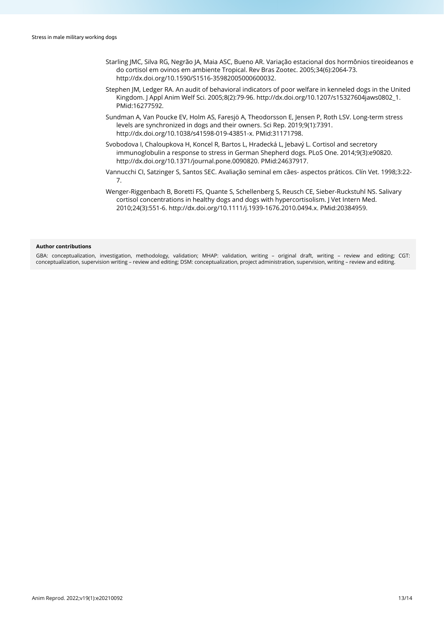- Starling JMC, Silva RG, Negrão JA, Maia ASC, Bueno AR. Variação estacional dos hormônios tireoideanos e do cortisol em ovinos em ambiente Tropical. Rev Bras Zootec. 2005;34(6):2064-73. [http://dx.doi.org/10.1590/S1516-35982005000600032.](https://doi.org/10.1590/S1516-35982005000600032)
- Stephen JM, Ledger RA. An audit of behavioral indicators of poor welfare in kenneled dogs in the United Kingdom. J Appl Anim Welf Sci. 2005;8(2):79-96. [http://dx.doi.org/10.1207/s15327604jaws0802\\_1](https://doi.org/10.1207/s15327604jaws0802_1)[.](https://www.ncbi.nlm.nih.gov/entrez/query.fcgi?cmd=Retrieve&db=PubMed&list_uids=16277592&dopt=Abstract) [PMid:16277592.](https://www.ncbi.nlm.nih.gov/entrez/query.fcgi?cmd=Retrieve&db=PubMed&list_uids=16277592&dopt=Abstract)
- Sundman A, Van Poucke EV, Holm AS, Faresjö A, Theodorsson E, Jensen P, Roth LSV. Long-term stress levels are synchronized in dogs and their owners. Sci Rep. 2019;9(1):7391. [http://dx.doi.org/10.1038/s41598-019-43851-x.](https://doi.org/10.1038/s41598-019-43851-x) [PMid:31171798.](https://www.ncbi.nlm.nih.gov/entrez/query.fcgi?cmd=Retrieve&db=PubMed&list_uids=31171798&dopt=Abstract)
- Svobodova I, Chaloupkova H, Koncel R, Bartos L, Hradecká L, Jebavý L. Cortisol and secretory immunoglobulin a response to stress in German Shepherd dogs. PLoS One. 2014;9(3):e90820. [http://dx.doi.org/10.1371/journal.pone.0090820.](https://doi.org/10.1371/journal.pone.0090820) [PMid:24637917.](https://www.ncbi.nlm.nih.gov/entrez/query.fcgi?cmd=Retrieve&db=PubMed&list_uids=24637917&dopt=Abstract)
- Vannucchi CI, Satzinger S, Santos SEC. Avaliação seminal em cães- aspectos práticos. Clín Vet. 1998;3:22- 7.
- Wenger-Riggenbach B, Boretti FS, Quante S, Schellenberg S, Reusch CE, Sieber-Ruckstuhl NS. Salivary cortisol concentrations in healthy dogs and dogs with hypercortisolism. J Vet Intern Med. 2010;24(3):551-6[. http://dx.doi.org/10.1111/j.1939-1676.2010.0494.x.](https://doi.org/10.1111/j.1939-1676.2010.0494.x) [PMid:20384959.](https://www.ncbi.nlm.nih.gov/entrez/query.fcgi?cmd=Retrieve&db=PubMed&list_uids=20384959&dopt=Abstract)

#### **Author contributions**

GBA: conceptualization, investigation, methodology, validation; MHAP: validation, writing – original draft, writing – review and editing; CGT: conceptualization, supervision writing – review and editing; DSM: conceptualization, project administration, supervision, writing – review and editing.